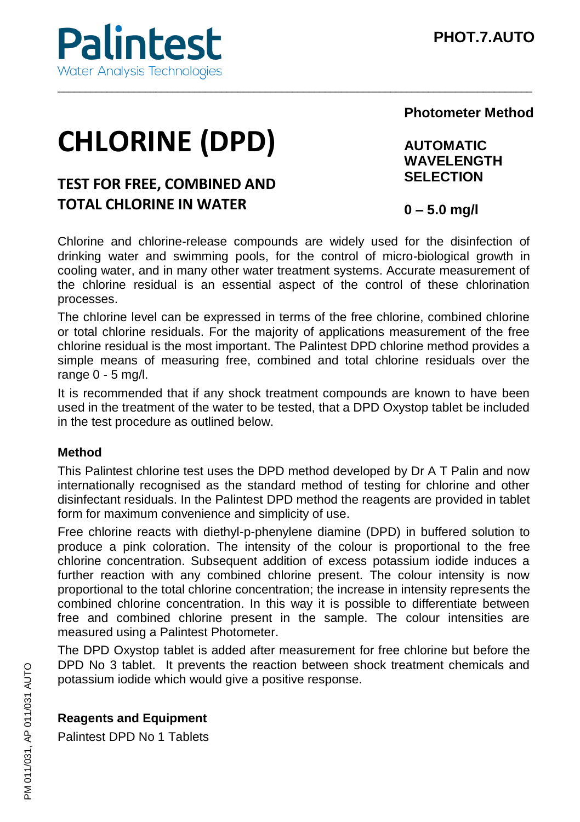

# **CHLORINE (DPD)**

# **TEST FOR FREE, COMBINED AND TOTAL CHLORINE IN WATER**

**Photometer Method**

**AUTOMATIC WAVELENGTH SELECTION**

**0 – 5.0 mg/l** 

Chlorine and chlorine-release compounds are widely used for the disinfection of drinking water and swimming pools, for the control of micro-biological growth in cooling water, and in many other water treatment systems. Accurate measurement of the chlorine residual is an essential aspect of the control of these chlorination processes.

\_\_\_\_\_\_\_\_\_\_\_\_\_\_\_\_\_\_\_\_\_\_\_\_\_\_\_\_\_\_\_\_\_\_\_\_\_\_\_\_\_\_\_\_\_\_\_\_\_\_\_\_\_\_\_\_\_\_\_\_\_\_\_\_\_\_\_\_\_\_\_\_\_\_\_\_\_\_\_\_\_\_\_\_\_\_\_

The chlorine level can be expressed in terms of the free chlorine, combined chlorine or total chlorine residuals. For the majority of applications measurement of the free chlorine residual is the most important. The Palintest DPD chlorine method provides a simple means of measuring free, combined and total chlorine residuals over the range 0 - 5 mg/l.

It is recommended that if any shock treatment compounds are known to have been used in the treatment of the water to be tested, that a DPD Oxystop tablet be included in the test procedure as outlined below.

## **Method**

This Palintest chlorine test uses the DPD method developed by Dr A T Palin and now internationally recognised as the standard method of testing for chlorine and other disinfectant residuals. In the Palintest DPD method the reagents are provided in tablet form for maximum convenience and simplicity of use.

Free chlorine reacts with diethyl-p-phenylene diamine (DPD) in buffered solution to produce a pink coloration. The intensity of the colour is proportional to the free chlorine concentration. Subsequent addition of excess potassium iodide induces a further reaction with any combined chlorine present. The colour intensity is now proportional to the total chlorine concentration; the increase in intensity represents the combined chlorine concentration. In this way it is possible to differentiate between free and combined chlorine present in the sample. The colour intensities are measured using a Palintest Photometer.

The DPD Oxystop tablet is added after measurement for free chlorine but before the DPD No 3 tablet. It prevents the reaction between shock treatment chemicals and potassium iodide which would give a positive response.

# **Reagents and Equipment**

Palintest DPD No 1 Tablets